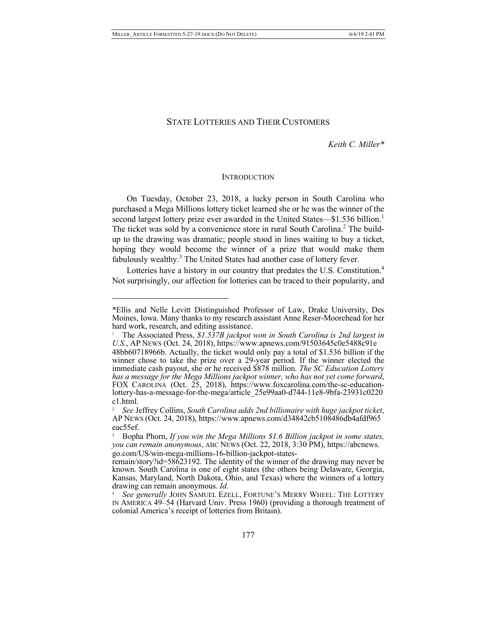$\overline{a}$ 

# STATE LOTTERIES AND THEIR CUSTOMERS

*Keith C. Miller\**

#### **INTRODUCTION**

On Tuesday, October 23, 2018, a lucky person in South Carolina who purchased a Mega Millions lottery ticket learned she or he was the winner of the second largest lottery prize ever awarded in the United States—\$1.536 billion.<sup>1</sup> The ticket was sold by a convenience store in rural South Carolina.<sup>2</sup> The buildup to the drawing was dramatic; people stood in lines waiting to buy a ticket, hoping they would become the winner of a prize that would make them fabulously wealthy.<sup>3</sup> The United States had another case of lottery fever.

Lotteries have a history in our country that predates the U.S. Constitution.<sup>4</sup> Not surprisingly, our affection for lotteries can be traced to their popularity, and

<sup>\*</sup>Ellis and Nelle Levitt Distinguished Professor of Law, Drake University, Des Moines, Iowa. Many thanks to my research assistant Anne Reser-Moorehead for her hard work, research, and editing assistance.

<sup>1</sup> The Associated Press, *\$1.537B jackpot won in South Carolina is 2nd largest in U.S.*, AP NEWS (Oct. 24, 2018), https://www.apnews.com/91503645c0e5488c91e 48bb60718966b. Actually, the ticket would only pay a total of \$1.536 billion if the winner chose to take the prize over a 29-year period. If the winner elected the immediate cash payout, she or he received \$878 million. *The SC Education Lottery*  has a message for the Mega Millions jackpot winner, who has not yet come forward,<br>FOX CAROLINA (Oct. 25, 2018), https://www.foxcarolina.com/the-sc-education-<br>lottery-has-a-message-for-the-mega/article 25e99aa0-d744-11e8-9b c1.html.

<sup>2</sup>*See* Jeffrey Collins, *South Carolina adds 2nd billionaire with huge jackpot ticket*, AP NEWS (Oct. 24, 2018), https://www.apnews.com/d34842cb5108486db4afdf965 eac55ef.

<sup>3</sup> Bopha Phorn, *If you win the Mega Millions \$1.6 Billion jackpot in some states, you can remain anonymous*, ABC NEWS (Oct. 22, 2018, 3:30 PM), https://abcnews.

remain/story?id=58623192. The identity of the winner of the drawing may never be known. South Carolina is one of eight states (the others being Delaware, Georgia, Kansas, Maryland, North Dakota, Ohio, and Texas) where the winners of a lottery drawing can remain anonymous. *Id.*

<sup>4</sup> *See generally* JOHN SAMUEL EZELL, FORTUNE'S MERRY WHEEL: THE LOTTERY IN AMERICA 49–54 (Harvard Univ. Press 1960) (providing a thorough treatment of colonial America's receipt of lotteries from Britain).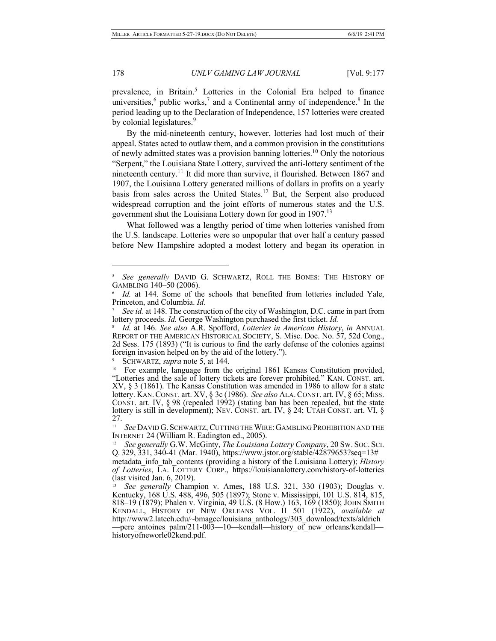prevalence, in Britain.<sup>5</sup> Lotteries in the Colonial Era helped to finance universities, $6$  public works, $7$  and a Continental army of independence. $8$  In the period leading up to the Declaration of Independence, 157 lotteries were created by colonial legislatures.<sup>9</sup>

By the mid-nineteenth century, however, lotteries had lost much of their appeal. States acted to outlaw them, and a common provision in the constitutions of newly admitted states was a provision banning lotteries.<sup>10</sup> Only the notorious "Serpent," the Louisiana State Lottery, survived the anti-lottery sentiment of the nineteenth century.<sup>11</sup> It did more than survive, it flourished. Between 1867 and 1907, the Louisiana Lottery generated millions of dollars in profits on a yearly basis from sales across the United States.<sup>12</sup> But, the Serpent also produced widespread corruption and the joint efforts of numerous states and the U.S. government shut the Louisiana Lottery down for good in 1907.<sup>13</sup>

What followed was a lengthy period of time when lotteries vanished from the U.S. landscape. Lotteries were so unpopular that over half a century passed before New Hampshire adopted a modest lottery and began its operation in

9 SCHWARTZ, *supra* note 5, at 144.

<sup>5</sup> *See generally* DAVID G. SCHWARTZ, ROLL THE BONES: THE HISTORY OF GAMBLING 140–50 (2006).

Id. at 144. Some of the schools that benefited from lotteries included Yale, Princeton, and Columbia. *Id.*

See id. at 148. The construction of the city of Washington, D.C. came in part from lottery proceeds. *Id.* George Washington purchased the first ticket. *Id.*

<sup>8</sup> *Id.* at 146. *See also* A.R. Spofford, *Lotteries in American History*, *in* ANNUAL REPORT OF THE AMERICAN HISTORICAL SOCIETY, S. Misc. Doc. No. 57, 52d Cong., 2d Sess. 175 (1893) ("It is curious to find the early defense of the colonies against foreign invasion helped on by the aid of the lottery.").

<sup>&</sup>lt;sup>10</sup> For example, language from the original 1861 Kansas Constitution provided, "Lotteries and the sale of lottery tickets are forever prohibited." KAN. CONST. art. XV, § 3 (1861). The Kansas Constitution was amended in 1986 to allow for a state lottery. KAN.CONST. art. XV, § 3c (1986). *See also* ALA.CONST. art. IV, § 65; MISS. CONST. art. IV, § 98 (repealed 1992) (stating ban has been repealed, but the state lottery is still in development); NEV. CONST. art. IV, § 24; UTAH CONST. art. VI, § 27.

<sup>&</sup>lt;sup>11</sup> *See* DAVID G. SCHWARTZ, CUTTING THE WIRE: GAMBLING PROHIBITION AND THE INTERNET 24 (William R. Eadington ed., 2005).

<sup>&</sup>lt;sup>12</sup> See generally G.W. McGinty, *The Louisiana Lottery Company*, 20 Sw. Soc. Sci. Q. 329, 331, 340-41 (Mar. 1940), https://www.jstor.org/stable/42879653?seq=13# metadata\_info\_tab\_contents (providing a history of the Louisiana Lottery); *History* 

*of Lotteries*, LA. LOTTERY CORP., https://louisianalottery.com/history-of-lotteries (last visited Jan. 6, 2019).

<sup>13</sup> *See generally* Champion v. Ames, 188 U.S. 321, 330 (1903); Douglas v. Kentucky, 168 U.S. 488, 496, 505 (1897); Stone v. Mississippi, 101 U.S. 814, 815, 818–19 (1879); Phalen v. Virginia, 49 U.S. (8 How.) 163, 169 (1850); JOHN SMITH KENDALL, HISTORY OF NEW ORLEANS VOL. II 501 (1922), *available at* http://www2.latech.edu/~bmagee/louisiana\_anthology/303\_download/texts/aldrich —pere\_antoines\_palm/211-003—10—kendall—history\_of\_new\_orleans/kendall— historyofneworle02kend.pdf.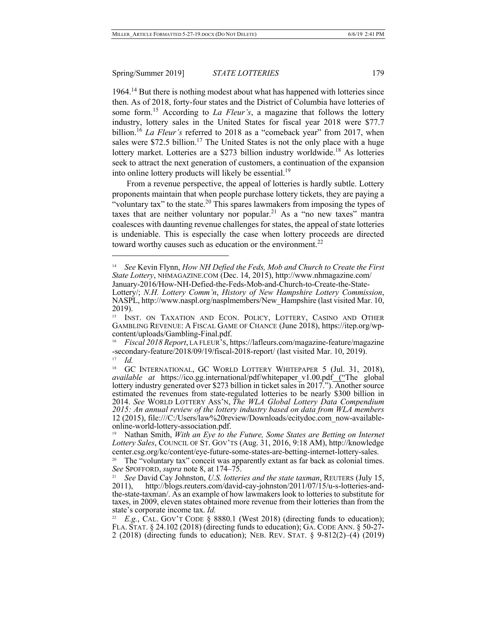$\overline{a}$ 

 $1964<sup>14</sup>$  But there is nothing modest about what has happened with lotteries since then. As of 2018, forty-four states and the District of Columbia have lotteries of some form.<sup>15</sup> According to *La Fleur's*, a magazine that follows the lottery industry, lottery sales in the United States for fiscal year 2018 were \$77.7 billion.<sup>16</sup> *La Fleur's* referred to 2018 as a "comeback year" from 2017, when sales were \$72.5 billion.<sup>17</sup> The United States is not the only place with a huge lottery market. Lotteries are a \$273 billion industry worldwide.<sup>18</sup> As lotteries seek to attract the next generation of customers, a continuation of the expansion into online lottery products will likely be essential.<sup>19</sup>

From a revenue perspective, the appeal of lotteries is hardly subtle. Lottery proponents maintain that when people purchase lottery tickets, they are paying a "voluntary tax" to the state.<sup>20</sup> This spares lawmakers from imposing the types of taxes that are neither voluntary nor popular.<sup>21</sup> As a "no new taxes" mantra coalesces with daunting revenue challenges for states, the appeal of state lotteries is undeniable. This is especially the case when lottery proceeds are directed toward worthy causes such as education or the environment.<sup>22</sup>

<sup>14</sup> *See* Kevin Flynn, *How NH Defied the Feds, Mob and Church to Create the First State Lottery*, NHMAGAZINE.COM (Dec. 14, 2015), http://www.nhmagazine.com/ January-2016/How-NH-Defied-the-Feds-Mob-and-Church-to-Create-the-State-

Lottery/; *N.H. Lottery Comm'n*, *History of New Hampshire Lottery Commission*, NASPL, http://www.naspl.org/nasplmembers/New\_Hampshire (last visited Mar. 10, 2019).

<sup>&</sup>lt;sup>15</sup> INST. ON TAXATION AND ECON. POLICY, LOTTERY, CASINO AND OTHER GAMBLING REVENUE: <sup>A</sup> FISCAL GAME OF CHANCE (June 2018), https://itep.org/wp- content/uploads/Gambling-Final.pdf.

<sup>16</sup> *Fiscal 2018 Report*, LA FLEUR'S, https://lafleurs.com/magazine-feature/magazine -secondary-feature/2018/09/19/fiscal-2018-report/ (last visited Mar. 10, 2019). *Id.* 

<sup>&</sup>lt;sup>18</sup> GC INTERNATIONAL, GC WORLD LOTTERY WHITEPAPER 5 (Jul. 31, 2018), *available at* https://ico.gg.international/pdf/whitepaper v1.00.pdf ("The global lottery industry generated over \$273 billion in ticket sales in 2017."). Another source estimated the revenues from state-regulated lotteries to be nearly \$300 billion in 2014. *See* WORLD LOTTERY ASS'N, *The WLA Global Lottery Data Compendium 2015: An annual review of the lottery industry based on data from WLA members* 12 (2015), file:///C:/Users/law%20review/Downloads/ecitydoc.com\_now-available- online-world-lottery-association.pdf.

<sup>19</sup> Nathan Smith, *With an Eye to the Future, Some States are Betting on Internet Lottery Sales*, COUNCIL OF ST. GOV'TS (Aug. 31, 2016, 9:18 AM), http://knowledge

center.csg.org/kc/content/eye-future-some-states-are-betting-internet-lottery-sales. 20 The "voluntary tax" conceit was apparently extant as far back as colonial times. *See* SPOFFORD, *supra* note 8, at 174–75.

<sup>21</sup> *See* David Cay Johnston, *U.S. lotteries and the state taxman*, REUTERS (July 15, 2011), http://blogs.reuters.com/david-cay-johnston/2011/07/15/u-s-lotteries-and- the-state-taxman/. As an example of how lawmakers look to lotteries to substitute for taxes, in 2009, eleven states obtained more revenue from their lotteries than from the state's corporate income tax. *Id.*

<sup>&</sup>lt;sup>22</sup> *E.g.*, CAL. GOV'T CODE § 8880.1 (West 2018) (directing funds to education); FLA. STAT. § 24.102 (2018) (directing funds to education); GA. CODE ANN. § 50-27- 2 (2018) (directing funds to education); NEB. REV. STAT. § 9-812(2)–(4) (2019)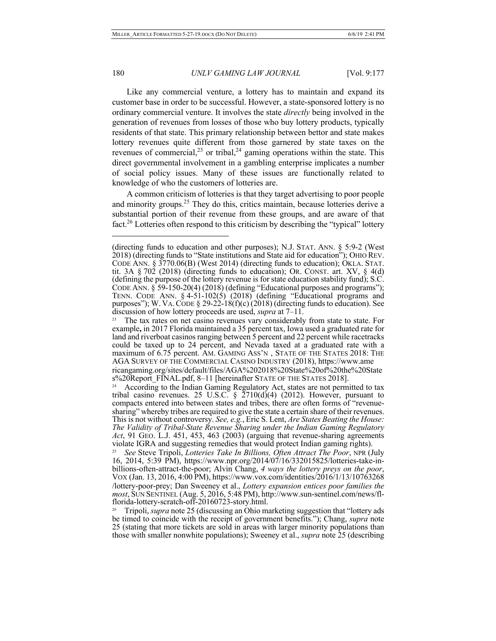$\overline{a}$ 

#### 180 *UNLV GAMING LAW JOURNAL* [Vol. 9:177]

Like any commercial venture, a lottery has to maintain and expand its customer base in order to be successful. However, a state-sponsored lottery is no ordinary commercial venture. It involves the state *directly* being involved in the generation of revenues from losses of those who buy lottery products, typically residents of that state. This primary relationship between bettor and state makes lottery revenues quite different from those garnered by state taxes on the revenues of commercial,  $2^3$  or tribal,  $2^4$  gaming operations within the state. This direct governmental involvement in a gambling enterprise implicates a number of social policy issues. Many of these issues are functionally related to knowledge of who the customers of lotteries are.

A common criticism of lotteries is that they target advertising to poor people and minority groups. $25$  They do this, critics maintain, because lotteries derive a substantial portion of their revenue from these groups, and are aware of that fact.<sup>26</sup> Lotteries often respond to this criticism by describing the "typical" lottery

s%20Report\_FINAL.pdf, 8–11 [hereinafter STATE OF THE STATES 2018].

25 *See* Steve Tripoli, *Lotteries Take In Billions, Often Attract The Poor*, NPR (July 16, 2014, 5:39 PM), https://www.npr.org/2014/07/16/332015825/lotteries-take-in-<br>billions-often-attract-the-poor; Alvin Chang, 4 ways the lottery preys on the poor,<br>VOX (Jan. 13, 2016, 4:00 PM), https://www.vox.com/identiti /lottery-poor-prey; Dan Sweeney et al., *Lottery expansion entices poor families the*  most, SUN SENTINEL (Aug. 5, 2016, 5:48 PM), http://www.sun-sentinel.com/news/fl-<br>florida-lottery-scratch-off-20160723-story.html.<br><sup>26</sup> Tripoli, *supra* note 25 (discussing an Ohio marketing suggestion that "lottery ads

be timed to coincide with the receipt of government benefits."); Chang, *supra* note 25 (stating that more tickets are sold in areas with larger minority populations than those with smaller nonwhite populations); Sweeney et al., *supra* note 25 (describing

<sup>(</sup>directing funds to education and other purposes); N.J. STAT. ANN. § 5:9-2 (West 2018) (directing funds to "State institutions and State aid for education"); OHIO REV. CODE ANN. § 3770.06(B) (West 2014) (directing funds to education); OKLA. STAT. tit. 3A  $\S 702$  (2018) (directing funds to education); OR. CONST. art. XV,  $\S 4(d)$ (defining the purpose of the lottery revenue is for state education stability fund); S.C. CODE ANN. § 59-150-20(4) (2018) (defining "Educational purposes and programs"); TENN. CODE ANN. § 4-51-102(5) (2018) (defining "Educational programs and purposes"); W. VA. CODE  $\S 29-22-18(f)(c)(2018)$  (directing funds to education). See discussion of how lottery proceeds are used, *supra* at 7–11.

The tax rates on net casino revenues vary considerably from state to state. For example**,** in 2017 Florida maintained a 35 percent tax, Iowa used a graduated rate for land and riverboat casinos ranging between 5 percent and 22 percent while racetracks could be taxed up to 24 percent, and Nevada taxed at a graduated rate with a maximum of 6.75 percent. AM. GAMING ASS'N , STATE OF THE STATES 2018: THE AGA SURVEY OF THE COMMERCIAL CASINO INDUSTRY (2018), https://www.ame ricangaming.org/sites/default/files/AGA%202018%20State%20of%20the%20State

According to the Indian Gaming Regulatory Act, states are not permitted to tax tribal casino revenues. 25 U.S.C. §  $2710(d)(4)$  (2012). However, pursuant to compacts entered into between states and tribes, there are often forms of "revenue- sharing" whereby tribes are required to give the state a certain share of their revenues. This is not without controversy. *See, e.g.*, Eric S. Lent, *Are States Beating the House: The Validity of Tribal-State Revenue Sharing under the Indian Gaming Regulatory Act*, 91 GEO. L.J. 451, 453, 463 (2003) (arguing that revenue-sharing agreements violate IGRA and suggesting remedies that would protect Indian gaming rights).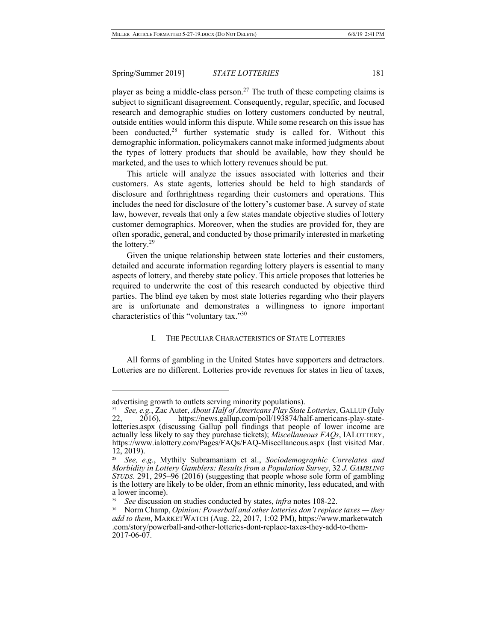player as being a middle-class person.<sup>27</sup> The truth of these competing claims is subject to significant disagreement. Consequently, regular, specific, and focused research and demographic studies on lottery customers conducted by neutral, outside entities would inform this dispute. While some research on this issue has been conducted,<sup>28</sup> further systematic study is called for. Without this demographic information, policymakers cannot make informed judgments about the types of lottery products that should be available, how they should be marketed, and the uses to which lottery revenues should be put.

This article will analyze the issues associated with lotteries and their customers. As state agents, lotteries should be held to high standards of disclosure and forthrightness regarding their customers and operations. This includes the need for disclosure of the lottery's customer base. A survey of state law, however, reveals that only a few states mandate objective studies of lottery customer demographics. Moreover, when the studies are provided for, they are often sporadic, general, and conducted by those primarily interested in marketing the lottery. $29$ 

Given the unique relationship between state lotteries and their customers, detailed and accurate information regarding lottery players is essential to many aspects of lottery, and thereby state policy. This article proposes that lotteries be required to underwrite the cost of this research conducted by objective third parties. The blind eye taken by most state lotteries regarding who their players are is unfortunate and demonstrates a willingness to ignore important characteristics of this "voluntary tax."30

#### I. THE PECULIAR CHARACTERISTICS OF STATE LOTTERIES

All forms of gambling in the United States have supporters and detractors. Lotteries are no different. Lotteries provide revenues for states in lieu of taxes,

advertising growth to outlets serving minority populations).

<sup>27</sup> *See, e.g.*, Zac Auter, *About Half of Americans Play State Lotteries*, GALLUP (July 2016), https://news.gallup.com/poll/193874/half-americans-play-statelotteries.aspx (discussing Gallup poll findings that people of lower income are actually less likely to say they purchase tickets); *Miscellaneous FAQs*, IALOTTERY, https://www.ialottery.com/Pages/FAQs/FAQ-Miscellaneous.aspx (last visited Mar. 12, 2019).

<sup>28</sup> *See, e.g.*, Mythily Subramaniam et al., *Sociodemographic Correlates and Morbidity in Lottery Gamblers: Results from a Population Survey*, 32 *J. GAMBLING STUDS*. 291, 295–96 (2016) (suggesting that people whose sole form of gambling is the lottery are likely to be older, from an ethnic minority, less educated, and with a lower income).

<sup>29</sup> *See* discussion on studies conducted by states, *infra* notes 108-22.

<sup>30</sup> Norm Champ, *Opinion: Powerball and other lotteries don't replace taxes — they add to them*, MARKETWATCH (Aug. 22, 2017, 1:02 PM), https://www.marketwatch .com/story/powerball-and-other-lotteries-dont-replace-taxes-they-add-to-them- 2017-06-07.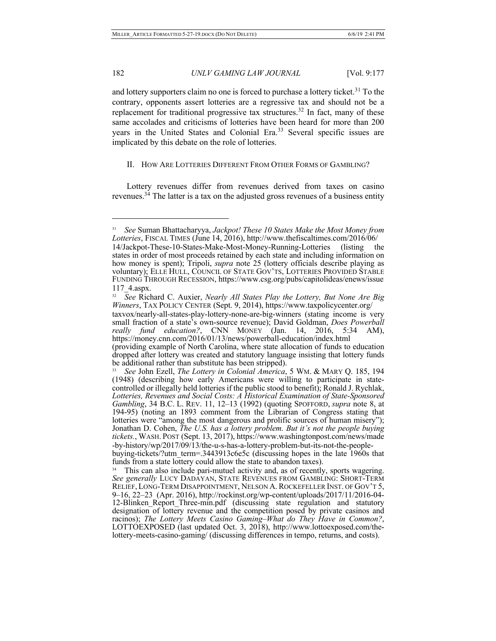and lottery supporters claim no one is forced to purchase a lottery ticket.<sup>31</sup> To the contrary, opponents assert lotteries are a regressive tax and should not be a replacement for traditional progressive tax structures.<sup>32</sup> In fact, many of these same accolades and criticisms of lotteries have been heard for more than 200 years in the United States and Colonial Era.<sup>33</sup> Several specific issues are implicated by this debate on the role of lotteries.

# II. HOW ARE LOTTERIES DIFFERENT FROM OTHER FORMS OF GAMBLING?

Lottery revenues differ from revenues derived from taxes on casino revenues.34 The latter is a tax on the adjusted gross revenues of a business entity

*really fund education?*, CNN MONEY (Jan. 14, 2016, 5:34 AM), https://money.cnn.com/2016/01/13/news/powerball-education/index.html (providing example of North Carolina, where state allocation of funds to education

<sup>31</sup> *See* Suman Bhattacharyya, *Jackpot! These 10 States Make the Most Money from Lotteries*, FISCAL TIMES (June 14, 2016), http://www.thefiscaltimes.com/2016/06/ 14/Jackpot-These-10-States-Make-Most-Money-Running-Lotteries (listing the states in order of most proceeds retained by each state and including information on how money is spent); Tripoli, *supra* note 25 (lottery officials describe playing as voluntary); ELLE HULL, COUNCIL OF STATE GOV'TS, LOTTERIES PROVIDED STABLE FUNDING THROUGH RECESSION, https://www.csg.org/pubs/capitolideas/enews/issue 117\_4.aspx.

<sup>32</sup> *See* Richard C. Auxier, *Nearly All States Play the Lottery, But None Are Big Winners*, TAX POLICY CENTER (Sept. 9, 2014), https://www.taxpolicycenter.org/ taxvox/nearly-all-states-play-lottery-none-are-big-winners (stating income is very small fraction of a state's own-source revenue); David Goldman, *Does Powerball* 

dropped after lottery was created and statutory language insisting that lottery funds be additional rather than substitute has been stripped).

<sup>33</sup> *See* John Ezell, *The Lottery in Colonial America*, 5 WM. & MARY Q. 185, 194 (1948) (describing how early Americans were willing to participate in statecontrolled or illegally held lotteries if the public stood to benefit); Ronald J. Rychlak, *Lotteries, Revenues and Social Costs: A Historical Examination of State-Sponsored Gambling*, 34 B.C. L. REV. 11, 12–13 (1992) (quoting SPOFFORD, *supra* note 8, at 194-95) (noting an 1893 comment from the Librarian of Congress stating that lotteries were "among the most dangerous and prolific sources of human misery"); Jonathan D. Cohen, *The U.S. has a lottery problem. But it's not the people buying tickets.*, WASH. POST (Sept. 13, 2017), https://www.washingtonpost.com/news/made -by-history/wp/2017/09/13/the-u-s-has-a-lottery-problem-but-its-not-the-people- buying-tickets/?utm\_term=.3443913c6e5c (discussing hopes in the late 1960s that funds from a state lottery could allow the state to abandon taxes).

This can also include pari-mutuel activity and, as of recently, sports wagering. *See generally* LUCY DADAYAN, STATE REVENUES FROM GAMBLING: SHORT-TERM RELIEF, LONG-TERM DISAPPOINTMENT, NELSON A.ROCKEFELLER INST. OF GOV'T 5, 9–16, 22–23 (Apr. 2016), http://rockinst.org/wp-content/uploads/2017/11/2016-04- 12-Blinken\_Report\_Three-min.pdf (discussing state regulation and statutory designation of lottery revenue and the competition posed by private casinos and racinos); *The Lottery Meets Casino Gaming–What do They Have in Common?*, LOTTOEXPOSED (last updated Oct. 3, 2018), http://www.lottoexposed.com/the-lottery-meets-casino-gaming/ (discussing differences in tempo, returns, an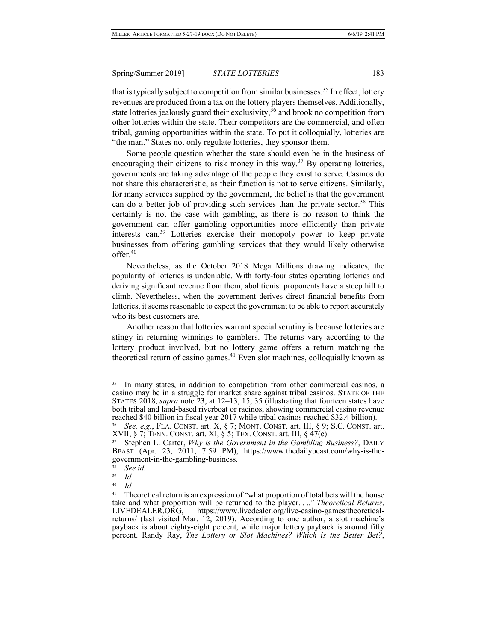that is typically subject to competition from similar businesses.<sup>35</sup> In effect, lottery revenues are produced from a tax on the lottery players themselves. Additionally, state lotteries jealously guard their exclusivity,  $36$  and brook no competition from other lotteries within the state. Their competitors are the commercial, and often tribal, gaming opportunities within the state. To put it colloquially, lotteries are "the man." States not only regulate lotteries, they sponsor them.

Some people question whether the state should even be in the business of encouraging their citizens to risk money in this way.<sup>37</sup> By operating lotteries, governments are taking advantage of the people they exist to serve. Casinos do not share this characteristic, as their function is not to serve citizens. Similarly, for many services supplied by the government, the belief is that the government can do a better job of providing such services than the private sector.<sup>38</sup> This certainly is not the case with gambling, as there is no reason to think the government can offer gambling opportunities more efficiently than private interests can.<sup>39</sup> Lotteries exercise their monopoly power to keep private businesses from offering gambling services that they would likely otherwise offer.40

Nevertheless, as the October 2018 Mega Millions drawing indicates, the popularity of lotteries is undeniable. With forty-four states operating lotteries and deriving significant revenue from them, abolitionist proponents have a steep hill to climb. Nevertheless, when the government derives direct financial benefits from lotteries, it seems reasonable to expect the government to be able to report accurately who its best customers are.

Another reason that lotteries warrant special scrutiny is because lotteries are stingy in returning winnings to gamblers. The returns vary according to the lottery product involved, but no lottery game offers a return matching the theoretical return of casino games.<sup>41</sup> Even slot machines, colloquially known as

 $\overline{a}$ 

 $\frac{40}{41}$  *Id.* 

<sup>&</sup>lt;sup>35</sup> In many states, in addition to competition from other commercial casinos, a casino may be in a struggle for market share against tribal casinos. STATE OF THE STATES 2018, *supra* note 23, at 12–13, 15, 35 (illustrating that fourteen states have both tribal and land-based riverboat or racinos, showing commercial casino revenue reached \$40 billion in fiscal year 2017 while tribal casinos reached \$32.4 billion).

<sup>36</sup> *See, e.g.*, FLA. CONST. art. X, § 7; MONT. CONST. art. III, § 9; S.C. CONST. art. XVII, § 7; TENN. CONST. art. XI, § 5; TEX. CONST. art. III, § 47 $(e)$ .

<sup>37</sup> Stephen L. Carter, *Why is the Government in the Gambling Business?*, DAILY BEAST (Apr. 23, 2011, 7:59 PM), https://www.thedailybeast.com/why-is-the- government-in-the-gambling-business.

See *id.* 

<sup>39</sup> *Id.*

Theoretical return is an expression of "what proportion of total bets will the house take and what proportion will be returned to the player. . .." *Theoretical Returns*, LIVEDEALER.ORG, https://www.livedealer.org/live-casino-games/theoreticalreturns/ (last visited Mar. 12, 2019). According to one author, a slot machine's payback is about eighty-eight percent, while major lottery payback is around fifty percent. Randy Ray, *The Lottery or Slot Machines? Which is the Better Bet?*,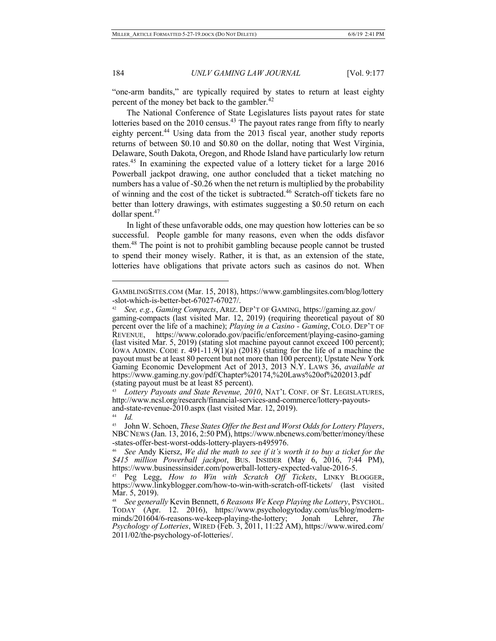"one-arm bandits," are typically required by states to return at least eighty percent of the money bet back to the gambler.<sup>42</sup>

The National Conference of State Legislatures lists payout rates for state lotteries based on the  $2010$  census.<sup>43</sup> The payout rates range from fifty to nearly eighty percent.<sup>44</sup> Using data from the 2013 fiscal year, another study reports returns of between \$0.10 and \$0.80 on the dollar, noting that West Virginia, Delaware, South Dakota, Oregon, and Rhode Island have particularly low return rates.<sup>45</sup> In examining the expected value of a lottery ticket for a large 2016 Powerball jackpot drawing, one author concluded that a ticket matching no numbers has a value of -\$0.26 when the net return is multiplied by the probability of winning and the cost of the ticket is subtracted.<sup>46</sup> Scratch-off tickets fare no better than lottery drawings, with estimates suggesting a \$0.50 return on each dollar spent.47

In light of these unfavorable odds, one may question how lotteries can be so successful. People gamble for many reasons, even when the odds disfavor them.<sup>48</sup> The point is not to prohibit gambling because people cannot be trusted to spend their money wisely. Rather, it is that, as an extension of the state, lotteries have obligations that private actors such as casinos do not. When

GAMBLINGSITES.COM (Mar. 15, 2018), https://www.gamblingsites.com/blog/lottery -slot-which-is-better-bet-67027-67027/.

<sup>42</sup> *See, e.g.*, *Gaming Compacts*, ARIZ. DEP'T OF GAMING, https://gaming.az.gov/ gaming-compacts (last visited Mar. 12, 2019) (requiring theoretical payout of 80 percent over the life of a machine); *Playing in a Casino - Gaming*, COLO. DEP'T OF REVENUE, https://www.colorado.gov/pacific/enforcement/playing-casino-gaming (last visited Mar. 5, 2019) (stating slot machine payout cannot exceed 100 percent); IOWA ADMIN. CODE r.  $491-11.9(1)(a)$  (2018) (stating for the life of a machine the payout must be at least 80 percent but not more than 100 percent); Upstate New York Gaming Economic Development Act of 2013, 2013 N.Y. LAWS 36, *available at* https://www.gaming.ny.gov/pdf/Chapter%20174,%20Laws%20of%202013.pdf (stating payout must be at least 85 percent).

<sup>&</sup>lt;sup>43</sup> Lottery Payouts and State Revenue, 2010, NAT'L CONF. OF ST. LEGISLATURES, http://www.ncsl.org/research/financial-services-and-commerce/lottery-payoutsand-state-revenue-2010.aspx (last visited Mar. 12, 2019).

<sup>&</sup>lt;sup>44</sup> *Id.*<br><sup>45</sup> John W. Schoen, *These States Offer the Best and Worst Odds for Lottery Players,* NBC NEWS (Jan. 13, 2016, 2:50 PM), https://www.nbcnews.com/better/money/these -states-offer-best-worst-odds-lottery-players-n495976. 46 *See* Andy Kiersz, *We did the math to see if it's worth it to buy a ticket for the* 

*<sup>\$415</sup> million Powerball jackpot*, BUS. INSIDER (May 6, 2016, 7:44 PM),

<sup>&</sup>lt;sup>47</sup> Peg Legg, *How to Win with Scratch Off Tickets*, LINKY BLOGGER, https://www.linkyblogger.com/how-to-win-with-scratch-off-tickets/ (last visited Mar. 5, 2019).

<sup>&</sup>lt;sup>48</sup> See generally Kevin Bennett, 6 Reasons We Keep Playing the Lottery, PSYCHOL.<br>TODAY (Apr. 12. 2016), https://www.psychologytoday.com/us/blog/modern-<br>minds/201604/6-reasons-we-keep-playing-the-lottery; Jonah Lehrer, *Th Psychology of Lotteries*, WIRED (Feb. 3, 2011, 11:22 AM), https://www.wired.com/ 2011/02/the-psychology-of-lotteries/.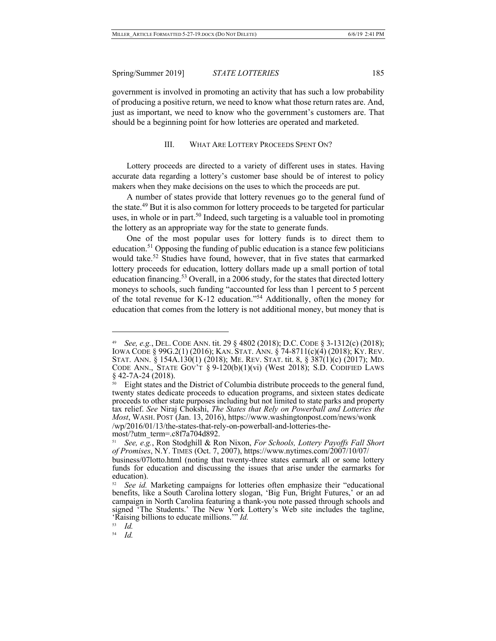government is involved in promoting an activity that has such a low probability of producing a positive return, we need to know what those return rates are. And, just as important, we need to know who the government's customers are. That should be a beginning point for how lotteries are operated and marketed.

#### III. WHAT ARE LOTTERY PROCEEDS SPENT ON?

Lottery proceeds are directed to a variety of different uses in states. Having accurate data regarding a lottery's customer base should be of interest to policy makers when they make decisions on the uses to which the proceeds are put.

A number of states provide that lottery revenues go to the general fund of the state.<sup>49</sup> But it is also common for lottery proceeds to be targeted for particular uses, in whole or in part.<sup>50</sup> Indeed, such targeting is a valuable tool in promoting the lottery as an appropriate way for the state to generate funds.

One of the most popular uses for lottery funds is to direct them to education.<sup>51</sup> Opposing the funding of public education is a stance few politicians would take.<sup>52</sup> Studies have found, however, that in five states that earmarked lottery proceeds for education, lottery dollars made up a small portion of total education financing.<sup>53</sup> Overall, in a 2006 study, for the states that directed lottery moneys to schools, such funding "accounted for less than 1 percent to 5 percent of the total revenue for K-12 education."54 Additionally, often the money for education that comes from the lottery is not additional money, but money that is

 $\overline{a}$ 

54 *Id.*

<sup>49</sup> *See, e.g.*, DEL. CODE ANN. tit. 29 § 4802 (2018); D.C. CODE § 3-1312(c) (2018); IOWA CODE § 99G.2(1) (2016); KAN. STAT. ANN. § 74-8711(c)(4) (2018); KY. REV. STAT. ANN. § 154A.130(1) (2018); ME. REV. STAT. tit. 8, § 387(1)(c) (2017); MD. CODE ANN., STATE GOV'T  $\S 9-120(b)(1)(vi)$  (West 2018); S.D. CODIFIED LAWS § 42-7A-24 (2018).

Eight states and the District of Columbia distribute proceeds to the general fund, twenty states dedicate proceeds to education programs, and sixteen states dedicate proceeds to other state purposes including but not limited to state parks and property tax relief. *See* Niraj Chokshi, *The States that Rely on Powerball and Lotteries the Most*, WASH. POST (Jan. 13, 2016), https://www.washingtonpost.com/news/wonk /wp/2016/01/13/the-states-that-rely-on-powerball-and-lotteries-the- most/?utm\_term=.c8f7a704d892.

<sup>51</sup> *See, e.g.*, Ron Stodghill & Ron Nixon, *For Schools, Lottery Payoffs Fall Short of Promises*, N.Y. TIMES (Oct. 7, 2007), https://www.nytimes.com/2007/10/07/ business/07lotto.html (noting that twenty-three states earmark all or some lottery funds for education and discussing the issues that arise under the earmarks for education).

<sup>&</sup>lt;sup>52</sup> *See id.* Marketing campaigns for lotteries often emphasize their "educational benefits, like a South Carolina lottery slogan, 'Big Fun, Bright Futures,' or an ad campaign in North Carolina featuring a thank-you note passed through schools and signed 'The Students.' The New York Lottery's Web site includes the tagline, 'Raising billions to educate millions.'" *Id.*<br><sup>53</sup> *Id* 

<sup>53</sup> *Id.*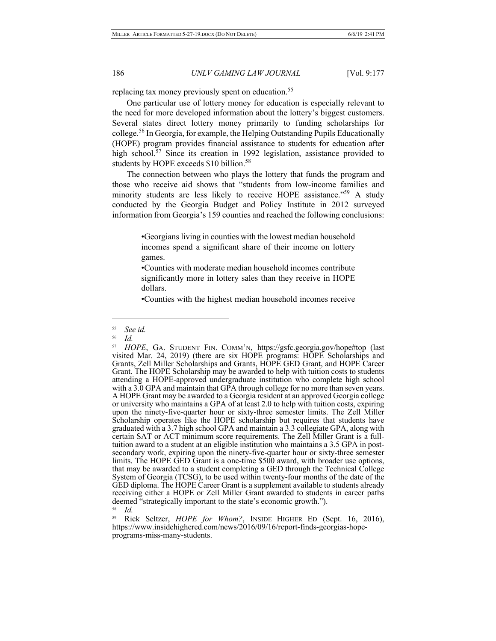replacing tax money previously spent on education.<sup>55</sup>

One particular use of lottery money for education is especially relevant to the need for more developed information about the lottery's biggest customers. Several states direct lottery money primarily to funding scholarships for college.<sup>56</sup> In Georgia, for example, the Helping Outstanding Pupils Educationally (HOPE) program provides financial assistance to students for education after high school. $57$  Since its creation in 1992 legislation, assistance provided to students by HOPE exceeds \$10 billion.<sup>58</sup>

The connection between who plays the lottery that funds the program and those who receive aid shows that "students from low-income families and minority students are less likely to receive HOPE assistance."<sup>59</sup> A study conducted by the Georgia Budget and Policy Institute in 2012 surveyed information from Georgia's 159 counties and reached the following conclusions:

> •Georgians living in counties with the lowest median household incomes spend a significant share of their income on lottery games.

> •Counties with moderate median household incomes contribute significantly more in lottery sales than they receive in HOPE dollars.

> •Counties with the highest median household incomes receive

<sup>55</sup> *See id.*

 $\frac{56}{57}$  *Id.* 

HOPE, GA. STUDENT FIN. COMM'N, https://gsfc.georgia.gov/hope#top (last visited Mar. 24, 2019) (there are six HOPE programs: HOPE Scholarships and Grants, Zell Miller Scholarships and Grants, HOPE GED Grant, and HOPE Career Grant. The HOPE Scholarship may be awarded to help with tuition costs to students attending a HOPE-approved undergraduate institution who complete high school with a 3.0 GPA and maintain that GPA through college for no more than seven years. A HOPE Grant may be awarded to a Georgia resident at an approved Georgia college or university who maintains a GPA of at least 2.0 to help with tuition costs, expiring upon the ninety-five-quarter hour or sixty-three semester limits. The Zell Miller Scholarship operates like the HOPE scholarship but requires that students have graduated with a 3.7 high school GPA and maintain a 3.3 collegiate GPA, along with certain SAT or ACT minimum score requirements. The Zell Miller Grant is a full-<br>tuition award to a student at an eligible institution who maintains a 3.5 GPA in post-<br>secondary work, expiring upon the ninety-five-quarter h limits. The HOPE GED Grant is a one-time \$500 award, with broader use options, that may be awarded to a student completing a GED through the Technical College System of Georgia (TCSG), to be used within twenty-four months of the date of the GED diploma. The HOPE Career Grant is a supplement available to students already receiving either a HOPE or Zell Miller Grant awarded to students in career paths deemed "strategically important to the state's economic growth."). 58 *Id.*

<sup>59</sup> Rick Seltzer, *HOPE for Whom?*, INSIDE HIGHER ED (Sept. 16, 2016), https://www.insidehighered.com/news/2016/09/16/report-finds-georgias-hope- programs-miss-many-students.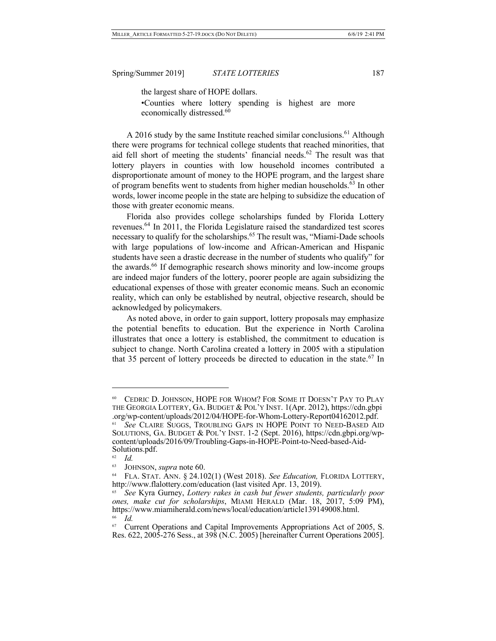the largest share of HOPE dollars.

•Counties where lottery spending is highest are more economically distressed.<sup>60</sup>

A 2016 study by the same Institute reached similar conclusions.<sup>61</sup> Although there were programs for technical college students that reached minorities, that aid fell short of meeting the students' financial needs. $62$  The result was that lottery players in counties with low household incomes contributed a disproportionate amount of money to the HOPE program, and the largest share of program benefits went to students from higher median households.<sup>63</sup> In other words, lower income people in the state are helping to subsidize the education of those with greater economic means.

Florida also provides college scholarships funded by Florida Lottery revenues.64 In 2011, the Florida Legislature raised the standardized test scores necessary to qualify for the scholarships.<sup>65</sup> The result was, "Miami-Dade schools" with large populations of low-income and African-American and Hispanic students have seen a drastic decrease in the number of students who qualify" for the awards.<sup>66</sup> If demographic research shows minority and low-income groups are indeed major funders of the lottery, poorer people are again subsidizing the educational expenses of those with greater economic means. Such an economic reality, which can only be established by neutral, objective research, should be acknowledged by policymakers.

As noted above, in order to gain support, lottery proposals may emphasize the potential benefits to education. But the experience in North Carolina illustrates that once a lottery is established, the commitment to education is subject to change. North Carolina created a lottery in 2005 with a stipulation that 35 percent of lottery proceeds be directed to education in the state.<sup>67</sup> In

<sup>60</sup> CEDRIC D. JOHNSON, HOPE FOR WHOM? FOR SOME IT DOESN'T PAY TO PLAY THE GEORGIA LOTTERY, GA. BUDGET & POL'Y INST. 1(Apr. 2012), https://cdn.gbpi .org/wp-content/uploads/2012/04/HOPE-for-Whom-Lottery-Report04162012.pdf.

<sup>61</sup> *See* CLAIRE SUGGS, TROUBLING GAPS IN HOPE POINT TO NEED-BASED AID SOLUTIONS, GA. BUDGET & POL'Y INST. 1-2 (Sept. 2016), https://cdn.gbpi.org/wpcontent/uploads/2016/09/Troubling-Gaps-in-HOPE-Point-to-Need-based-Aid- Solutions.pdf.

 $\frac{62}{63}$  *Id.* 

<sup>63</sup> JOHNSON, *supra* note 60.

<sup>64</sup> FLA. STAT. ANN. § 24.102(1) (West 2018). *See Education,* FLORIDA LOTTERY, http://www.flalottery.com/education (last visited Apr. 13, 2019).

<sup>65</sup> *See* Kyra Gurney, *Lottery rakes in cash but fewer students, particularly poor ones, make cut for scholarships*, MIAMI HERALD (Mar. 18, 2017, 5:09 PM), https://www.miamiherald.com/news/local/education/article139149008.html. 66 *Id.*

<sup>&</sup>lt;sup>67</sup> Current Operations and Capital Improvements Appropriations Act of 2005, S. Res. 622, 2005-276 Sess., at 398 (N.C. 2005) [hereinafter Current Operations 2005].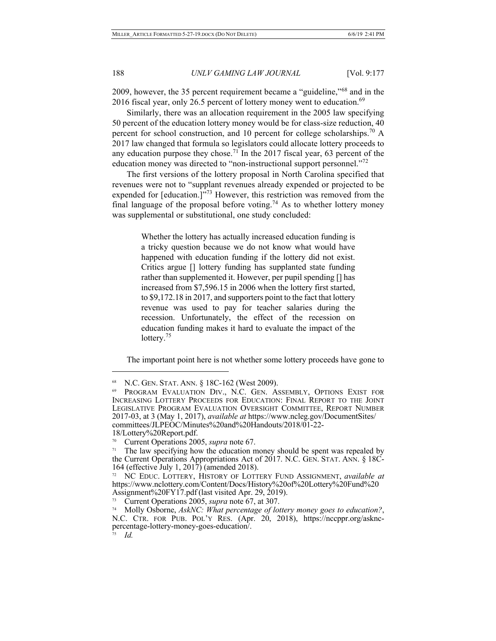2009, however, the 35 percent requirement became a "guideline,"<sup>68</sup> and in the 2016 fiscal year, only 26.5 percent of lottery money went to education. $69$ 

Similarly, there was an allocation requirement in the 2005 law specifying 50 percent of the education lottery money would be for class-size reduction, 40 percent for school construction, and 10 percent for college scholarships.<sup>70</sup> A 2017 law changed that formula so legislators could allocate lottery proceeds to any education purpose they chose.<sup>71</sup> In the 2017 fiscal year, 63 percent of the education money was directed to "non-instructional support personnel."<sup>72</sup>

The first versions of the lottery proposal in North Carolina specified that revenues were not to "supplant revenues already expended or projected to be expended for [education.]<sup>"73</sup> However, this restriction was removed from the final language of the proposal before voting.<sup>74</sup> As to whether lottery money was supplemental or substitutional, one study concluded:

> Whether the lottery has actually increased education funding is a tricky question because we do not know what would have happened with education funding if the lottery did not exist. Critics argue [] lottery funding has supplanted state funding rather than supplemented it. However, per pupil spending [] has increased from \$7,596.15 in 2006 when the lottery first started, to \$9,172.18 in 2017, and supporters point to the fact that lottery revenue was used to pay for teacher salaries during the recession. Unfortunately, the effect of the recession on education funding makes it hard to evaluate the impact of the lottery.<sup>75</sup>

The important point here is not whether some lottery proceeds have gone to

<sup>&</sup>lt;sup>68</sup> N.C. GEN. STAT. ANN. § 18C-162 (West 2009).<br><sup>69</sup> Program Evaluation Div., N.C. Gen. Assembly, Options Exist for INCREASING LOTTERY PROCEEDS FOR EDUCATION: FINAL REPORT TO THE JOINT LEGISLATIVE PROGRAM EVALUATION OVERSIGHT COMMITTEE, REPORT NUMBER 2017-03, at 3 (May 1, 2017), *available at* https://www.ncleg.gov/DocumentSites/ committees/JLPEOC/Minutes%20and%20Handouts/2018/01-22- 18/Lottery%20Report.pdf.

<sup>70</sup> Current Operations 2005, *supra* note 67.

 $71$  The law specifying how the education money should be spent was repealed by the Current Operations Appropriations Act of 2017. N.C. GEN. STAT. ANN. § 18C- 164 (effective July 1, 2017) (amended 2018).

<sup>72</sup> NC EDUC. LOTTERY, HISTORY OF LOTTERY FUND ASSIGNMENT, *available at*  https://www.nclottery.com/Content/Docs/History%20of%20Lottery%20Fund%20 Assignment%20FY17.pdf (last visited Apr. 29, 2019).

<sup>73</sup> Current Operations 2005, *supra* note 67, at 307.

<sup>74</sup> Molly Osborne, *AskNC: What percentage of lottery money goes to education?*, N.C. CTR. FOR PUB. POL'Y RES. (Apr. 20, 2018), https://nccppr.org/asknc- percentage-lottery-money-goes-education/. 75 *Id.*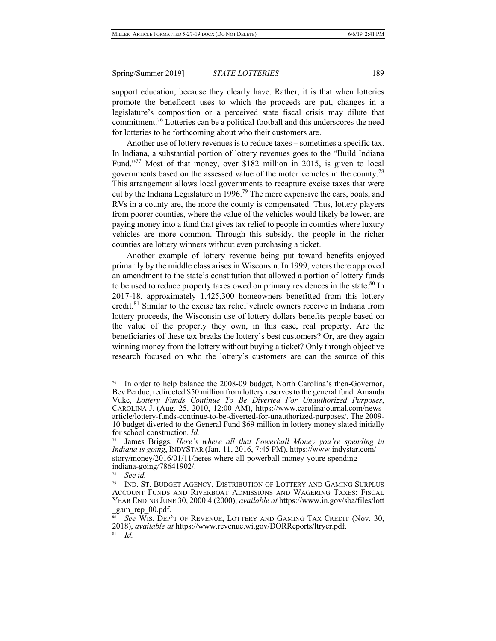support education, because they clearly have. Rather, it is that when lotteries promote the beneficent uses to which the proceeds are put, changes in a legislature's composition or a perceived state fiscal crisis may dilute that commitment.<sup>76</sup> Lotteries can be a political football and this underscores the need for lotteries to be forthcoming about who their customers are.

Another use of lottery revenues is to reduce taxes – sometimes a specific tax. In Indiana, a substantial portion of lottery revenues goes to the "Build Indiana Fund."77 Most of that money, over \$182 million in 2015, is given to local governments based on the assessed value of the motor vehicles in the county.<sup>78</sup> This arrangement allows local governments to recapture excise taxes that were cut by the Indiana Legislature in 1996.<sup>79</sup> The more expensive the cars, boats, and RVs in a county are, the more the county is compensated. Thus, lottery players from poorer counties, where the value of the vehicles would likely be lower, are paying money into a fund that gives tax relief to people in counties where luxury vehicles are more common. Through this subsidy, the people in the richer counties are lottery winners without even purchasing a ticket.

Another example of lottery revenue being put toward benefits enjoyed primarily by the middle class arises in Wisconsin. In 1999, voters there approved an amendment to the state's constitution that allowed a portion of lottery funds to be used to reduce property taxes owed on primary residences in the state.<sup>80</sup> In 2017-18, approximately 1,425,300 homeowners benefitted from this lottery credit.<sup>81</sup> Similar to the excise tax relief vehicle owners receive in Indiana from lottery proceeds, the Wisconsin use of lottery dollars benefits people based on the value of the property they own, in this case, real property. Are the beneficiaries of these tax breaks the lottery's best customers? Or, are they again winning money from the lottery without buying a ticket? Only through objective research focused on who the lottery's customers are can the source of this

<sup>&</sup>lt;sup>76</sup> In order to help balance the 2008-09 budget, North Carolina's then-Governor, Bev Perdue, redirected \$50 million from lottery reserves to the general fund. Amanda Vuke, *Lottery Funds Continue To Be Diverted For Unauthorized Purposes*, CAROLINA J. (Aug. 25, 2010, 12:00 AM), https://www.carolinajournal.com/news-<br>article/lottery-funds-continue-to-be-diverted-for-unauthorized-purposes/. The 2009-<br>10 budget diverted to the General Fund \$69 million in lottery for school construction. *Id.*

James Briggs, *Here's where all that Powerball Money you're spending in Indiana is going*, INDYSTAR (Jan. 11, 2016, 7:45 PM), https://www.indystar.com/ story/money/2016/01/11/heres-where-all-powerball-money-youre-spending- indiana-going/78641902/.

See *id.* 

<sup>79</sup> IND. ST. BUDGET AGENCY, DISTRIBUTION OF LOTTERY AND GAMING SURPLUS ACCOUNT FUNDS AND RIVERBOAT ADMISSIONS AND WAGERING TAXES: FISCAL YEAR ENDING JUNE 30, 2000 4 (2000), *available at* https://www.in.gov/sba/files/lott  $\frac{\text{gam} \text{rep}}{\text{g} \cdot \text{g} \cdot \text{g} \cdot \text{g}} 00.$ pdf.

See WIS. DEP'T OF REVENUE, LOTTERY AND GAMING TAX CREDIT (Nov. 30, 2018), *available at* https://www.revenue.wi.gov/DORReports/ltrycr.pdf. 81 *Id.*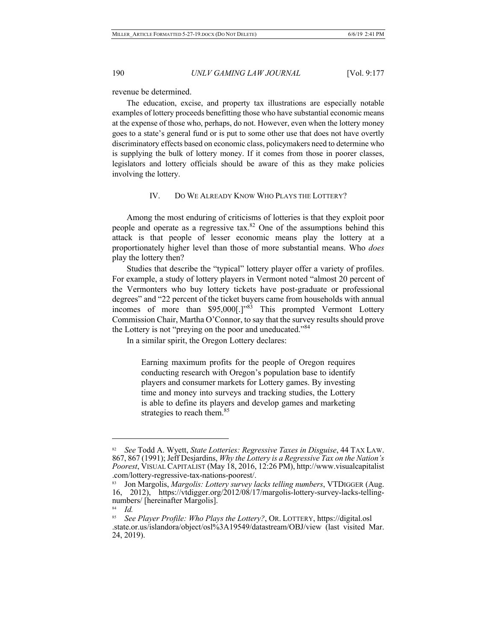revenue be determined.

The education, excise, and property tax illustrations are especially notable examples of lottery proceeds benefitting those who have substantial economic means at the expense of those who, perhaps, do not. However, even when the lottery money goes to a state's general fund or is put to some other use that does not have overtly discriminatory effects based on economic class, policymakers need to determine who is supplying the bulk of lottery money. If it comes from those in poorer classes, legislators and lottery officials should be aware of this as they make policies involving the lottery.

#### IV. DO WE ALREADY KNOW WHO PLAYS THE LOTTERY?

Among the most enduring of criticisms of lotteries is that they exploit poor people and operate as a regressive  $\text{tax}$ .<sup>82</sup> One of the assumptions behind this attack is that people of lesser economic means play the lottery at a proportionately higher level than those of more substantial means. Who *does* play the lottery then?

Studies that describe the "typical" lottery player offer a variety of profiles. For example, a study of lottery players in Vermont noted "almost 20 percent of the Vermonters who buy lottery tickets have post-graduate or professional degrees" and "22 percent of the ticket buyers came from households with annual incomes of more than \$95,000[.]<sup>1983</sup> This prompted Vermont Lottery Commission Chair, Martha O'Connor, to say that the survey results should prove the Lottery is not "preying on the poor and uneducated."84

In a similar spirit, the Oregon Lottery declares:

Earning maximum profits for the people of Oregon requires conducting research with Oregon's population base to identify players and consumer markets for Lottery games. By investing time and money into surveys and tracking studies, the Lottery is able to define its players and develop games and marketing strategies to reach them.<sup>85</sup>

<sup>82</sup>*See* Todd A. Wyett, *State Lotteries: Regressive Taxes in Disguise*, 44 TAX LAW. 867, 867 (1991); Jeff Desjardins, *Why the Lottery is a Regressive Tax on the Nation's Poorest*, VISUAL CAPITALIST (May 18, 2016, 12:26 PM), http://www.visualcapitalist .com/lottery-regressive-tax-nations-poorest/.

<sup>83</sup> Jon Margolis, *Margolis: Lottery survey lacks telling numbers*, VTDIGGER (Aug. 16, 2012), https://vtdigger.org/2012/08/17/margolis-lottery-survey-lacks-telling- numbers/ [hereinafter Margolis].

<sup>84</sup> *Id.*

<sup>85</sup> *See Player Profile: Who Plays the Lottery?*, OR. LOTTERY, https://digital.osl .state.or.us/islandora/object/osl%3A19549/datastream/OBJ/view (last visited Mar. 24, 2019).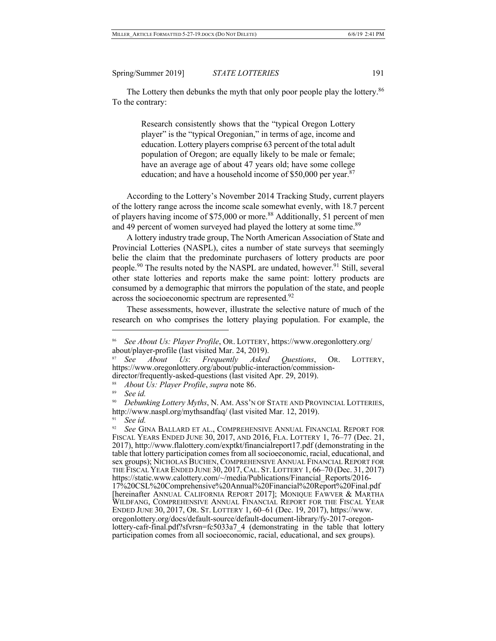The Lottery then debunks the myth that only poor people play the lottery.<sup>86</sup> To the contrary:

> Research consistently shows that the "typical Oregon Lottery player" is the "typical Oregonian," in terms of age, income and education. Lottery players comprise 63 percent of the total adult population of Oregon; are equally likely to be male or female; have an average age of about 47 years old; have some college education; and have a household income of \$50,000 per year. $87$

According to the Lottery's November 2014 Tracking Study, current players of the lottery range across the income scale somewhat evenly, with 18.7 percent of players having income of \$75,000 or more.<sup>88</sup> Additionally, 51 percent of men and 49 percent of women surveyed had played the lottery at some time.<sup>89</sup>

A lottery industry trade group, The North American Association of State and Provincial Lotteries (NASPL), cites a number of state surveys that seemingly belie the claim that the predominate purchasers of lottery products are poor people.<sup>90</sup> The results noted by the NASPL are undated, however.<sup>91</sup> Still, several other state lotteries and reports make the same point: lottery products are consumed by a demographic that mirrors the population of the state, and people across the socioeconomic spectrum are represented.<sup>92</sup>

These assessments, however, illustrate the selective nature of much of the research on who comprises the lottery playing population. For example, the

<sup>86</sup> *See About Us: Player Profile*, OR. LOTTERY, https://www.oregonlottery.org/

about/player-profile (last visited Mar. 24, 2019). 87 *See About Us*: *Frequently Asked Questions*, OR. LOTTERY, https://www.oregonlottery.org/about/public-interaction/commission- director/frequently-asked-questions (last visited Apr. 29, 2019).

<sup>88</sup> *About Us: Player Profile*, *supra* note 86.

<sup>89</sup> *See id.*

<sup>90</sup> *Debunking Lottery Myths*, N. AM. ASS'N OF STATE AND PROVINCIAL LOTTERIES, http://www.naspl.org/mythsandfaq/ (last visited Mar. 12, 2019).

<sup>&</sup>lt;sup>91</sup> *See id.*<br><sup>92</sup> *See G*1

<sup>92</sup> *See* GINA BALLARD ET AL., COMPREHENSIVE ANNUAL FINANCIAL REPORT FOR FISCAL YEARS ENDED JUNE 30, 2017, AND 2016, FLA. LOTTERY 1, 76–77 (Dec. 21, 2017), http://www.flalottery.com/exptkt/financialreport17.pdf (demonstrating in the table that lottery participation comes from all socioeconomic, racial, educational, and sex groups); NICHOLAS BUCHEN, COMPREHENSIVE ANNUAL FINANCIAL REPORT FOR THE FISCAL YEAR ENDED JUNE 30, 2017, CAL. ST. LOTTERY 1, 66–70 (Dec. 31, 2017)<br>https://static.www.calottery.com/~/media/Publications/Financial Reports/2016https://static.www.calottery.com/~/media/Publications/Financial\_Reports/2016- 17%20CSL%20Comprehensive%20Annual%20Financial%20Report%20Final.pdf [hereinafter ANNUAL CALIFORNIA REPORT 2017]; MONIQUE FAWVER & MARTHA WILDFANG, COMPREHENSIVE ANNUAL FINANCIAL REPORT FOR THE FISCAL YEAR ENDED JUNE 30, 2017, OR. ST. LOTTERY 1, 60–61 (Dec. 19, 2017), https://www. oregonlottery.org/docs/default-source/default-document-library/fy-2017-oregon- lottery-cafr-final.pdf?sfvrsn=fc5033a7\_4 (demonstrating in the table that lottery participation comes from all socioeconomic, racial, educational, and sex groups).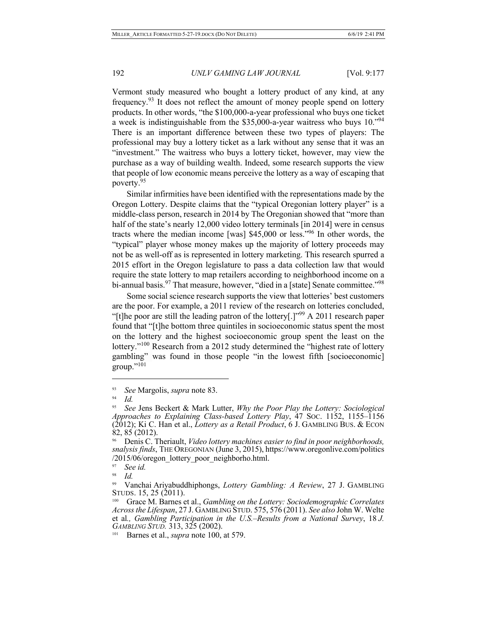Vermont study measured who bought a lottery product of any kind, at any frequency.<sup>93</sup> It does not reflect the amount of money people spend on lottery products. In other words, "the \$100,000-a-year professional who buys one ticket a week is indistinguishable from the \$35,000-a-year waitress who buys 10."94 There is an important difference between these two types of players: The professional may buy a lottery ticket as a lark without any sense that it was an "investment." The waitress who buys a lottery ticket, however, may view the purchase as a way of building wealth. Indeed, some research supports the view that people of low economic means perceive the lottery as a way of escaping that poverty.<sup>95</sup>

Similar infirmities have been identified with the representations made by the Oregon Lottery. Despite claims that the "typical Oregonian lottery player" is a middle-class person, research in 2014 by The Oregonian showed that "more than half of the state's nearly 12,000 video lottery terminals [in 2014] were in census tracts where the median income [was] \$45,000 or less."96 In other words, the "typical" player whose money makes up the majority of lottery proceeds may not be as well-off as is represented in lottery marketing. This research spurred a 2015 effort in the Oregon legislature to pass a data collection law that would require the state lottery to map retailers according to neighborhood income on a bi-annual basis.<sup>97</sup> That measure, however, "died in a [state] Senate committee."<sup>98</sup>

Some social science research supports the view that lotteries' best customers are the poor. For example, a 2011 review of the research on lotteries concluded, "[t]he poor are still the leading patron of the lottery[.]"99 A 2011 research paper found that "[t]he bottom three quintiles in socioeconomic status spent the most on the lottery and the highest socioeconomic group spent the least on the lottery."<sup>100</sup> Research from a 2012 study determined the "highest rate of lottery gambling" was found in those people "in the lowest fifth [socioeconomic]  $group.^{"101}$ 

<sup>93</sup>*See* Margolis, *supra* note 83. 94 *Id.* 95 *See* Jens Beckert & Mark Lutter, *Why the Poor Play the Lottery: Sociological Approaches to Explaining Class-based Lottery Play*, 47 SOC. 1152, 1155–1156 (2012); Ki C. Han et al., *Lottery as a Retail Product*, 6 J. GAMBLING BUS. & ECON 82, 85 (2012).

<sup>96</sup> Denis C. Theriault, *Video lottery machines easier to find in poor neighborhoods, snalysis finds*, THE OREGONIAN (June 3, 2015), https://www.oregonlive.com/politics  $/2015/06/$ oregon\_lottery\_poor\_neighborho.html.

See id.

 $\frac{98}{99}$  *Id.* 

<sup>99</sup> Vanchai Ariyabuddhiphongs, *Lottery Gambling: A Review*, 27 J. GAMBLING STUDS. 15, 25 (2011).

<sup>100</sup> Grace M. Barnes et al., *Gambling on the Lottery: Sociodemographic Correlates Across the Lifespan*, 27 J. GAMBLING STUD. 575, 576 (2011). *See also* John W. Welte et al*., Gambling Participation in the U.S.–Results from a National Survey*, 18 *J. GAMBLING STUD.* 313, 325 (2002).

<sup>&</sup>lt;sup>101</sup> Barnes et al., *supra* note 100, at 579.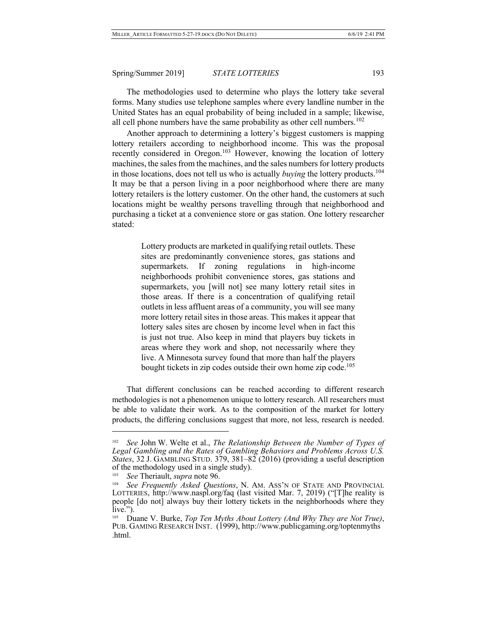The methodologies used to determine who plays the lottery take several forms. Many studies use telephone samples where every landline number in the United States has an equal probability of being included in a sample; likewise, all cell phone numbers have the same probability as other cell numbers. $102$ 

Another approach to determining a lottery's biggest customers is mapping lottery retailers according to neighborhood income. This was the proposal recently considered in Oregon.<sup>103</sup> However, knowing the location of lottery machines, the sales from the machines, and the sales numbers for lottery products in those locations, does not tell us who is actually *buying* the lottery products.<sup>104</sup> It may be that a person living in a poor neighborhood where there are many lottery retailers is the lottery customer. On the other hand, the customers at such locations might be wealthy persons travelling through that neighborhood and purchasing a ticket at a convenience store or gas station. One lottery researcher stated:

> Lottery products are marketed in qualifying retail outlets. These sites are predominantly convenience stores, gas stations and supermarkets. If zoning regulations in high-income neighborhoods prohibit convenience stores, gas stations and supermarkets, you [will not] see many lottery retail sites in those areas. If there is a concentration of qualifying retail outlets in less affluent areas of a community, you will see many more lottery retail sites in those areas. This makes it appear that lottery sales sites are chosen by income level when in fact this is just not true. Also keep in mind that players buy tickets in areas where they work and shop, not necessarily where they live. A Minnesota survey found that more than half the players bought tickets in zip codes outside their own home zip code.<sup>105</sup>

That different conclusions can be reached according to different research methodologies is not a phenomenon unique to lottery research. All researchers must be able to validate their work. As to the composition of the market for lottery products, the differing conclusions suggest that more, not less, research is needed.

See John W. Welte et al., *The Relationship Between the Number of Types of Legal Gambling and the Rates of Gambling Behaviors and Problems Across U.S. States*, 32 J. GAMBLING STUD. 379, 381–82 (2016) (providing a useful description of the methodology used in a single study).

<sup>&</sup>lt;sup>103</sup> *See* Theriault, *supra* note 96.

See Frequently Asked Questions, N. AM. ASS'N OF STATE AND PROVINCIAL LOTTERIES, http://www.naspl.org/faq (last visited Mar. 7, 2019) ("[T]he reality is people [do not] always buy their lottery tickets in the neighborhoods where they

live."). 105 Duane V. Burke, *Top Ten Myths About Lottery (And Why They are Not True)*, PUB. GAMING RESEARCH INST. (1999), http://www.publicgaming.org/toptenmyths .html.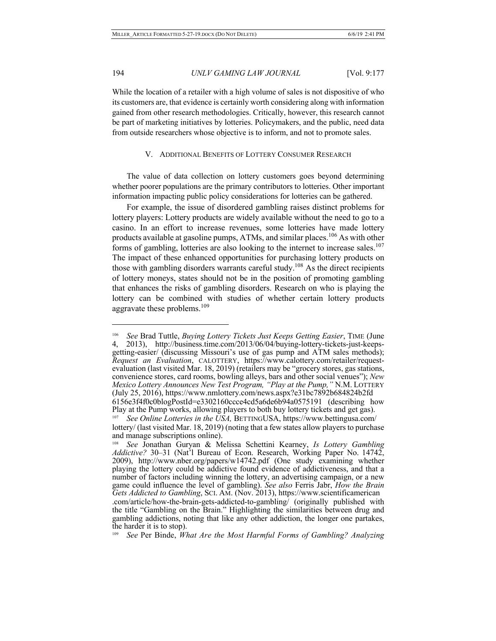$\overline{a}$ 

# 194 *UNLV GAMING LAW JOURNAL* [Vol. 9:177

While the location of a retailer with a high volume of sales is not dispositive of who its customers are, that evidence is certainly worth considering along with information gained from other research methodologies. Critically, however, this research cannot be part of marketing initiatives by lotteries. Policymakers, and the public, need data from outside researchers whose objective is to inform, and not to promote sales.

### V. ADDITIONAL BENEFITS OF LOTTERY CONSUMER RESEARCH

The value of data collection on lottery customers goes beyond determining whether poorer populations are the primary contributors to lotteries. Other important information impacting public policy considerations for lotteries can be gathered.

For example, the issue of disordered gambling raises distinct problems for lottery players: Lottery products are widely available without the need to go to a casino. In an effort to increase revenues, some lotteries have made lottery products available at gasoline pumps, ATMs, and similar places.<sup>106</sup> As with other forms of gambling, lotteries are also looking to the internet to increase sales.<sup>107</sup> The impact of these enhanced opportunities for purchasing lottery products on those with gambling disorders warrants careful study.<sup>108</sup> As the direct recipients of lottery moneys, states should not be in the position of promoting gambling that enhances the risks of gambling disorders. Research on who is playing the lottery can be combined with studies of whether certain lottery products aggravate these problems.<sup>109</sup>

<sup>106</sup> *See* Brad Tuttle, *Buying Lottery Tickets Just Keeps Getting Easier*, TIME (June 4, 2013), http://business.time.com/2013/06/04/buying-lottery-tickets-just-keeps- getting-easier/ (discussing Missouri's use of gas pump and ATM sales methods); *Request an Evaluation*, CALOTTERY, https://www.calottery.com/retailer/requestevaluation (last visited Mar. 18, 2019) (retailers may be "grocery stores, gas stations, convenience stores, card rooms, bowling alleys, bars and other social venues"); *New Mexico Lottery Announces New Test Program, "Play at the Pump,"* N.M. LOTTERY (July 25, 2016), https://www.nmlottery.com/news.aspx?e31bc7892b684824b2fd 6156e3f4f0c0blogPostId=e3302160ccce4cd5a6de6b94a0575191 (describing how Play at the Pump works, allowing players to both buy lottery tickets and get gas).

<sup>107</sup> *See Online Lotteries in the USA,* BETTINGUSA, https://www.bettingusa.com/ lottery/ (last visited Mar. 18, 2019) (noting that a few states allow players to purchase and manage subscriptions online).

<sup>108</sup> *See* Jonathan Guryan & Melissa Schettini Kearney, *Is Lottery Gambling Addictive?* 30–31 (Nat'l Bureau of Econ. Research, Working Paper No. 14742, 2009), http://www.nber.org/papers/w14742.pdf (One study examining whether playing the lottery could be addictive found evidence of addictiveness, and that a number of factors including winning the lottery, an advertising campaign, or a new game could influence the level of gambling). *See also* Ferris Jabr, *How the Brain Gets Addicted to Gambling*, SCI. AM. (Nov. 2013), https://www.scientificamerican .com/article/how-the-brain-gets-addicted-to-gambling/ (originally published with the title "Gambling on the Brain." Highlighting the similarities between drug and gambling addictions, noting that like any other addiction, the longer one partakes, the harder it is to stop).

<sup>109</sup> *See* Per Binde, *What Are the Most Harmful Forms of Gambling? Analyzing*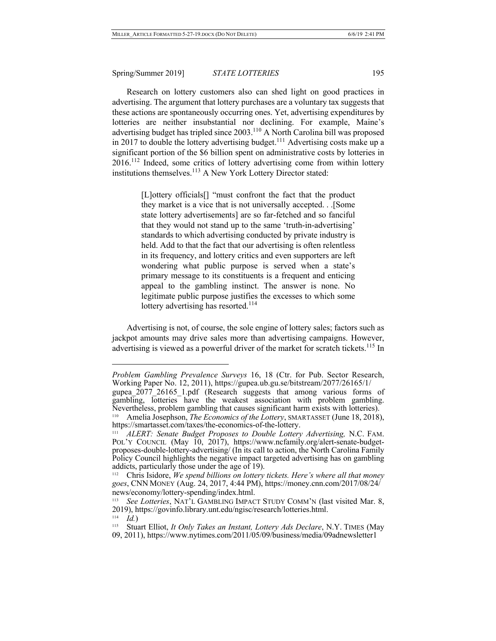Research on lottery customers also can shed light on good practices in advertising. The argument that lottery purchases are a voluntary tax suggests that these actions are spontaneously occurring ones. Yet, advertising expenditures by lotteries are neither insubstantial nor declining. For example, Maine's advertising budget has tripled since 2003.110 A North Carolina bill was proposed in 2017 to double the lottery advertising budget.<sup>111</sup> Advertising costs make up a significant portion of the \$6 billion spent on administrative costs by lotteries in  $2016$ <sup>112</sup> Indeed, some critics of lottery advertising come from within lottery institutions themselves.<sup>113</sup> A New York Lottery Director stated:

> [L]ottery officials[] "must confront the fact that the product they market is a vice that is not universally accepted. . .[Some state lottery advertisements] are so far-fetched and so fanciful that they would not stand up to the same 'truth-in-advertising' standards to which advertising conducted by private industry is held. Add to that the fact that our advertising is often relentless in its frequency, and lottery critics and even supporters are left wondering what public purpose is served when a state's primary message to its constituents is a frequent and enticing appeal to the gambling instinct. The answer is none. No legitimate public purpose justifies the excesses to which some lottery advertising has resorted.<sup>114</sup>

Advertising is not, of course, the sole engine of lottery sales; factors such as jackpot amounts may drive sales more than advertising campaigns. However, advertising is viewed as a powerful driver of the market for scratch tickets.<sup>115</sup> In

*Problem Gambling Prevalence Surveys* 16, 18 (Ctr. for Pub. Sector Research, Working Paper No. 12, 2011), https://gupea.ub.gu.se/bitstream/2077/26165/1/ gupea 2077 26165 1.pdf (Research suggests that among various forms of gambling, lotteries have the weakest association with problem gambling. Nevertheless, problem gambling that causes significant harm exists with lotteries).

<sup>&</sup>lt;sup>110</sup> Amelia Josephson, *The Economics of the Lottery*, SMARTASSET (June 18, 2018), https://smartasset.com/taxes/the-economics-of-the-lottery.

<sup>&</sup>lt;sup>111</sup> *ALERT: Senate Budget Proposes to Double Lottery Advertising, N.C. FAM.* POL'Y COUNCIL (May 10, 2017), https://www.ncfamily.org/alert-senate-budget-<br>proposes-double-lottery-advertising/ (In its call to action, the North Carolina Family Policy Council highlights the negative impact targeted advertising has on gambling addicts, particularly those under the age of 19).

<sup>&</sup>lt;sup>112</sup> Chris Isidore, We spend billions on lottery tickets. Here's where all that money *goes*, CNN MONEY (Aug. 24, 2017, 4:44 PM), https://money.cnn.com/2017/08/24/ news/economy/lottery-spending/index.html. 113 *See Lotteries*, NAT'L GAMBLING IMPACT STUDY COMM'N (last visited Mar. 8,

<sup>2019),</sup> https://govinfo.library.unt.edu/ngisc/research/lotteries.html.<br><sup>114</sup> *Id.*)

<sup>&</sup>lt;sup>115</sup> Stuart Elliot, *It Only Takes an Instant, Lottery Ads Declare*, N.Y. TIMES (May 09, 2011), https://www.nytimes.com/2011/05/09/business/media/09adnewsletter1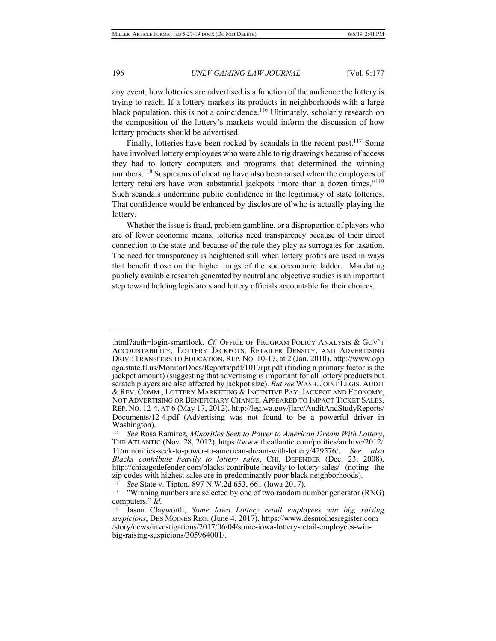any event, how lotteries are advertised is a function of the audience the lottery is trying to reach. If a lottery markets its products in neighborhoods with a large black population, this is not a coincidence.<sup>116</sup> Ultimately, scholarly research on the composition of the lottery's markets would inform the discussion of how lottery products should be advertised.

Finally, lotteries have been rocked by scandals in the recent past.<sup>117</sup> Some have involved lottery employees who were able to rig drawings because of access they had to lottery computers and programs that determined the winning numbers.<sup>118</sup> Suspicions of cheating have also been raised when the employees of lottery retailers have won substantial jackpots "more than a dozen times."<sup>119</sup> Such scandals undermine public confidence in the legitimacy of state lotteries. That confidence would be enhanced by disclosure of who is actually playing the lottery.

Whether the issue is fraud, problem gambling, or a disproportion of players who are of fewer economic means, lotteries need transparency because of their direct connection to the state and because of the role they play as surrogates for taxation. The need for transparency is heightened still when lottery profits are used in ways that benefit those on the higher rungs of the socioeconomic ladder. Mandating publicly available research generated by neutral and objective studies is an important step toward holding legislators and lottery officials accountable for their choices.

<sup>.</sup>html?auth=login-smartlock. Cf. OFFICE OF PROGRAM POLICY ANALYSIS & GOV'T ACCOUNTABILITY, LOTTERY JACKPOTS, RETAILER DENSITY, AND ADVERTISING DRIVE TRANSFERS TO EDUCATION, REP. NO. 10-17, at 2 (Jan. 2010), http://www.opp aga.state.fl.us/MonitorDocs/Reports/pdf/1017rpt.pdf (finding a primary factor is the jackpot amount) (suggesting that advertising is important for all lottery products but scratch players are also affected by jackpot size). *But see* WASH. JOINT LEGIS. AUDIT & REV. COMM., LOTTERY MARKETING & INCENTIVE PAY: JACKPOT AND ECONOMY, NOT ADVERTISING OR BENEFICIARY CHANGE, APPEARED TO IMPACT TICKET SALES, REP. NO. 12-4, AT 6 (May 17, 2012), http://leg.wa.gov/jlarc/AuditAndStudyReports/ Documents/12-4.pdf (Advertising was not found to be a powerful driver in Washington).

<sup>116</sup> *See* Rosa Ramirez, *Minorities Seek to Power to American Dream With Lottery*, THE ATLANTIC (Nov. 28, 2012), https://www.theatlantic.com/politics/archive/2012/ 11/minorities-seek-to-power-to-american-dream-with-lottery/429576/. *See also Blacks contribute heavily to lottery sales*, CHI. DEFENDER (Dec. 23, 2008), http://chicagodefender.com/blacks-contribute-heavily-to-lottery-sales/ (noting the zip codes with highest sales are in predominantly poor black neighborhoods).

<sup>&</sup>lt;sup>117</sup> See State v. Tipton, 897 N.W.2d 653, 661 (Iowa 2017).<br><sup>118</sup> "Winning numbers are selected by one of two random number generator (RNG) computers." *Id.*

<sup>119</sup> Jason Clayworth, *Some Iowa Lottery retail employees win big, raising suspicions*, DES MOINES REG. (June 4, 2017), https://www.desmoinesregister.com /story/news/investigations/2017/06/04/some-iowa-lottery-retail-employees-win- big-raising-suspicions/305964001/.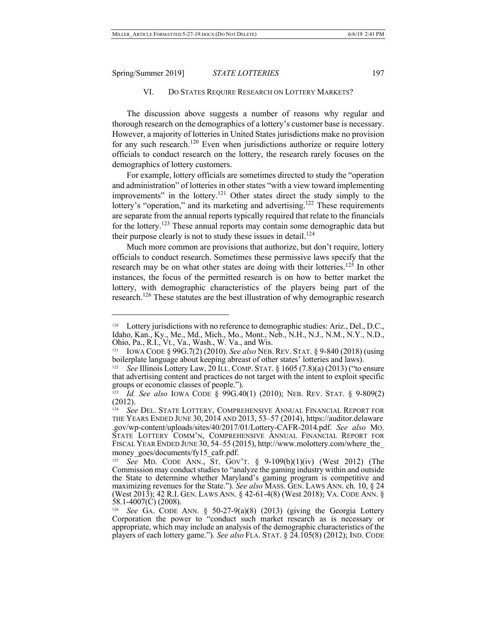$\overline{a}$ 

### VI. DO STATES REQUIRE RESEARCH ON LOTTERY MARKETS?

The discussion above suggests a number of reasons why regular and thorough research on the demographics of a lottery's customer base is necessary. However, a majority of lotteries in United States jurisdictions make no provision for any such research.<sup>120</sup> Even when jurisdictions authorize or require lottery officials to conduct research on the lottery, the research rarely focuses on the demographics of lottery customers.

For example, lottery officials are sometimes directed to study the "operation and administration" of lotteries in other states "with a view toward implementing improvements" in the lottery.<sup>121</sup> Other states direct the study simply to the lottery's "operation," and its marketing and advertising.<sup>122</sup> These requirements are separate from the annual reports typically required that relate to the financials for the lottery.<sup>123</sup> These annual reports may contain some demographic data but their purpose clearly is not to study these issues in detail. $^{124}$ 

Much more common are provisions that authorize, but don't require, lottery officials to conduct research. Sometimes these permissive laws specify that the research may be on what other states are doing with their lotteries.<sup>125</sup> In other instances, the focus of the permitted research is on how to better market the lottery, with demographic characteristics of the players being part of the research.<sup>126</sup> These statutes are the best illustration of why demographic research

<sup>&</sup>lt;sup>120</sup> Lottery jurisdictions with no reference to demographic studies: Ariz., Del., D.C., Idaho, Kan., Ky., Me., Md., Mich., Mo., Mont., Neb., N.H., N.J., N.M., N.Y., N.D., Ohio, Pa., R.I., Vt., Va., Wash., W. Va., and Wis.

<sup>&</sup>lt;sup>121</sup> IOWA CODE § 99G.7(2) (2010). *See also* NEB. REV. STAT. § 9-840 (2018) (using boilerplate language about keeping abreast of other states' lotteries and laws).

See Illinois Lottery Law, 20 ILL. COMP. STAT. § 1605 (7.8)(a) (2013) ("to ensure that advertising content and practices do not target with the intent to exploit specific groups or economic classes of people.").

<sup>123</sup> *Id. See also* IOWA CODE § 99G.40(1) (2010); NEB. REV. STAT. § 9-809(2) (2012).

See DEL. STATE LOTTERY, COMPREHENSIVE ANNUAL FINANCIAL REPORT FOR THE YEARS ENDED JUNE 30, 2014 AND 2013, 53–57 (2014), https://auditor.delaware .gov/wp-content/uploads/sites/40/2017/01/Lottery-CAFR-2014.pdf. *See also* MO. STATE LOTTERY COMM'N, COMPREHENSIVE ANNUAL FINANCIAL REPORT FOR FISCAL YEAR ENDED JUNE 30, 54–55 (2015), http://www.molottery.com/where\_the\_ money\_goes/documents/fy15\_cafr.pdf.

<sup>125</sup> *See* MD. CODE ANN., ST. GOV'T. § 9-109(b)(1)(iv) (West 2012) (The Commission may conduct studies to "analyze the gaming industry within and outside the State to determine whether Maryland's gaming program is competitive and maximizing revenues for the State."). *See also* MASS. GEN. LAWS ANN. ch. 10, § 24 (West 2013); 42 R.I. GEN. LAWS ANN. § 42-61-4(8) (West 2018); VA. CODE ANN. § 58.1-4007(C) (2008).

<sup>126</sup> *See* GA. CODE ANN. § 50-27-9(a)(8) (2013) (giving the Georgia Lottery Corporation the power to "conduct such market research as is necessary or appropriate, which may include an analysis of the demographic characteristics of the players of each lottery game."). *See also* FLA. STAT. § 24.105(8) (2012); IND. CODE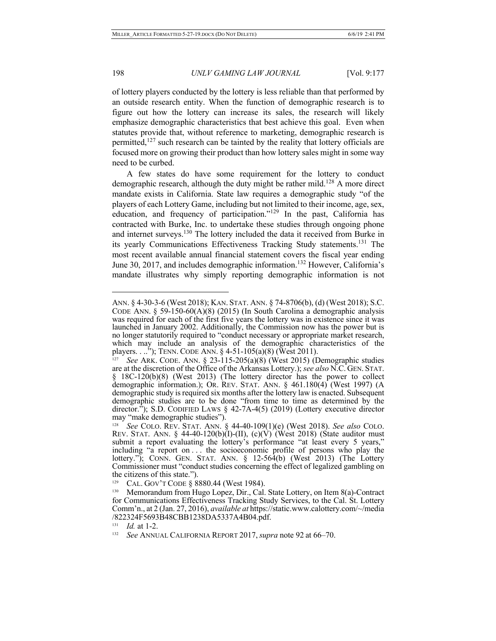$\overline{a}$ 

#### 198 *UNLV GAMING LAW JOURNAL* [Vol. 9:177

of lottery players conducted by the lottery is less reliable than that performed by an outside research entity. When the function of demographic research is to figure out how the lottery can increase its sales, the research will likely emphasize demographic characteristics that best achieve this goal. Even when statutes provide that, without reference to marketing, demographic research is permitted,<sup>127</sup> such research can be tainted by the reality that lottery officials are focused more on growing their product than how lottery sales might in some way need to be curbed.

A few states do have some requirement for the lottery to conduct demographic research, although the duty might be rather mild.<sup>128</sup> A more direct mandate exists in California. State law requires a demographic study "of the players of each Lottery Game, including but not limited to their income, age, sex, education, and frequency of participation."<sup>129</sup> In the past, California has contracted with Burke, Inc. to undertake these studies through ongoing phone and internet surveys.<sup>130</sup> The lottery included the data it received from Burke in its yearly Communications Effectiveness Tracking Study statements.<sup>131</sup> The most recent available annual financial statement covers the fiscal year ending June 30, 2017, and includes demographic information.<sup>132</sup> However, California's mandate illustrates why simply reporting demographic information is not

ANN. § 4-30-3-6 (West 2018); KAN. STAT. ANN. § 74-8706(b), (d) (West 2018); S.C. CODE ANN. § 59-150-60(A)(8) (2015) (In South Carolina a demographic analysis was required for each of the first five years the lottery was in existence since it was launched in January 2002. Additionally, the Commission now has the power but is no longer statutorily required to "conduct necessary or appropriate market research, which may include an analysis of the demographic characteristics of the players. . .."); TENN. CODE ANN. § 4-51-105(a)(8) (West 2011).

See ARK. CODE. ANN. § 23-115-205(a)(8) (West 2015) (Demographic studies are at the discretion of the Office of the Arkansas Lottery.); *see also* N.C. GEN. STAT. § 18C-120(b)(8) (West 2013) (The lottery director has the power to collect demographic information.); OR. REV. STAT. ANN. § 461.180(4) (West 1997) (A demographic study is required six months after the lottery law is enacted. Subsequent demographic studies are to be done "from time to time as determined by the director."); S.D. CODIFIED LAWS § 42-7A-4(5) (2019) (Lottery executive director may "make demographic studies").<br>
<sup>128</sup> See COLO. REV. STAT. ANN. § 44-40-109(1)(e) (West 2018). See also COLO.

REV. STAT. ANN. § 44-40-120(b)(I)-(II), (c)(V) (West 2018) (State auditor must submit a report evaluating the lottery's performance "at least every 5 years," including "a report on . . . the socioeconomic profile of persons who play the lottery."); CONN. GEN. STAT. ANN. § 12-564(b) (West 2013) (The Lottery Commissioner must "conduct studies concerning the effect of legalized gambling on the citizens of this state.").<br>
<sup>129</sup> CAL. GOV'T CODE § 8880.44 (West 1984).<br>
<sup>130</sup> Memorandum from Hugo Lopez, Dir., Cal. State Lottery, on Item 8(a)-Contract

for Communications Effectiveness Tracking Study Services, to the Cal. St. Lottery Comm'n., at 2 (Jan. 27, 2016), *available at* https://static.www.calottery.com/~/media /822324F5693B48CBB1238DA5337A4B04.pdf.

<sup>131</sup> *Id.* at 1-2.

<sup>132</sup> *See* ANNUAL CALIFORNIA REPORT 2017, *supra* note 92 at 66–70.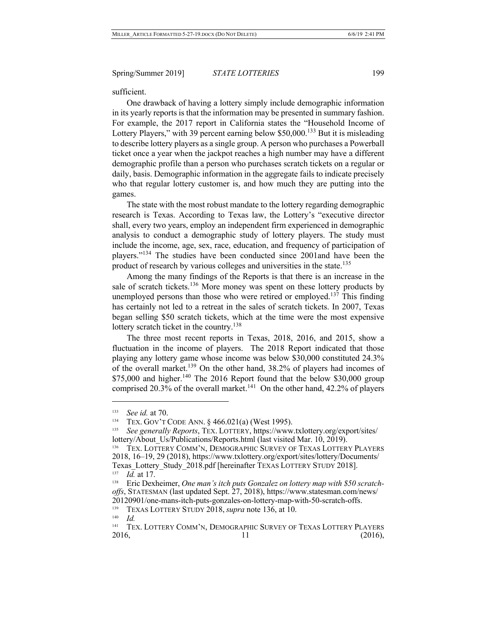sufficient.

One drawback of having a lottery simply include demographic information in its yearly reports is that the information may be presented in summary fashion. For example, the 2017 report in California states the "Household Income of Lottery Players," with 39 percent earning below \$50,000.<sup>133</sup> But it is misleading to describe lottery players as a single group. A person who purchases a Powerball ticket once a year when the jackpot reaches a high number may have a different demographic profile than a person who purchases scratch tickets on a regular or daily, basis. Demographic information in the aggregate fails to indicate precisely who that regular lottery customer is, and how much they are putting into the games.

The state with the most robust mandate to the lottery regarding demographic research is Texas. According to Texas law, the Lottery's "executive director shall, every two years, employ an independent firm experienced in demographic analysis to conduct a demographic study of lottery players. The study must include the income, age, sex, race, education, and frequency of participation of players."<sup>134</sup> The studies have been conducted since 2001and have been the product of research by various colleges and universities in the state.<sup>135</sup>

Among the many findings of the Reports is that there is an increase in the sale of scratch tickets.<sup>136</sup> More money was spent on these lottery products by unemployed persons than those who were retired or employed.<sup>137</sup> This finding has certainly not led to a retreat in the sales of scratch tickets. In 2007, Texas began selling \$50 scratch tickets, which at the time were the most expensive lottery scratch ticket in the country.<sup>138</sup>

The three most recent reports in Texas, 2018, 2016, and 2015, show a fluctuation in the income of players. The 2018 Report indicated that those playing any lottery game whose income was below \$30,000 constituted 24.3% of the overall market.<sup>139</sup> On the other hand,  $38.2\%$  of players had incomes of  $$75,000$  and higher.<sup>140</sup> The 2016 Report found that the below  $$30,000$  group comprised 20.3% of the overall market.<sup>141</sup> On the other hand, 42.2% of players

<sup>133</sup> *See id.* at 70.

<sup>134</sup> TEX. GOV'T CODE ANN. § 466.021(a) (West 1995). 135 *See generally Reports*, TEX. LOTTERY, https://www.txlottery.org/export/sites/ lottery/About Us/Publications/Reports.html (last visited Mar. 10, 2019).

<sup>136</sup> TEX. LOTTERY COMM'N, DEMOGRAPHIC SURVEY OF TEXAS LOTTERY PLAYERS 2018, 16–19, 29 (2018), https://www.txlottery.org/export/sites/lottery/Documents/ Texas\_Lottery\_Study\_2018.pdf [hereinafter TEXAS LOTTERY STUDY 2018]. 137 *Id.* at 17.

<sup>138</sup> Eric Dexheimer, *One man's itch puts Gonzalez on lottery map with \$50 scratch- offs*, STATESMAN (last updated Sept. 27, 2018), https://www.statesman.com/news/ 20120901/one-mans-itch-puts-gonzales-on-lottery-map-with-50-scratch-offs.

<sup>&</sup>lt;sup>139</sup> TEXAS LOTTERY STUDY 2018, *supra* note 136, at 10.

 $\frac{140}{141}$  *Id.* 

TEX. LOTTERY COMM'N, DEMOGRAPHIC SURVEY OF TEXAS LOTTERY PLAYERS 2016, 11 (2016),